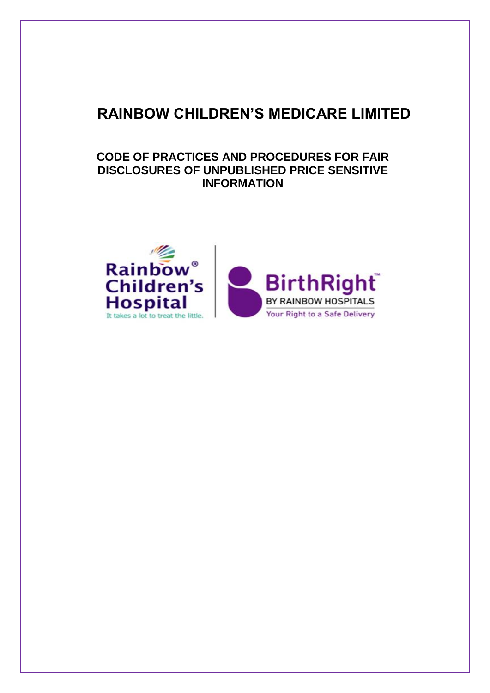# **RAINBOW CHILDREN'S MEDICARE LIMITED**

# **CODE OF PRACTICES AND PROCEDURES FOR FAIR DISCLOSURES OF UNPUBLISHED PRICE SENSITIVE INFORMATION**

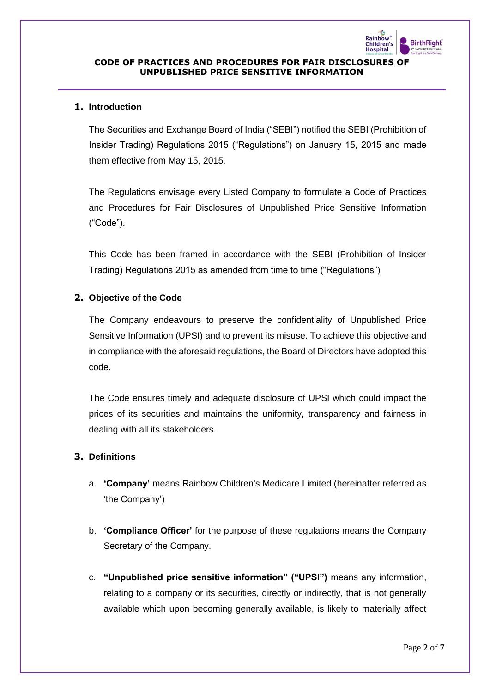

# **1. Introduction**

The Securities and Exchange Board of India ("SEBI") notified the SEBI (Prohibition of Insider Trading) Regulations 2015 ("Regulations") on January 15, 2015 and made them effective from May 15, 2015.

The Regulations envisage every Listed Company to formulate a Code of Practices and Procedures for Fair Disclosures of Unpublished Price Sensitive Information ("Code").

This Code has been framed in accordance with the SEBI (Prohibition of Insider Trading) Regulations 2015 as amended from time to time ("Regulations")

### **2. Objective of the Code**

The Company endeavours to preserve the confidentiality of Unpublished Price Sensitive Information (UPSI) and to prevent its misuse. To achieve this objective and in compliance with the aforesaid regulations, the Board of Directors have adopted this code.

The Code ensures timely and adequate disclosure of UPSI which could impact the prices of its securities and maintains the uniformity, transparency and fairness in dealing with all its stakeholders.

#### **3. Definitions**

- a. **'Company'** means Rainbow Children's Medicare Limited (hereinafter referred as 'the Company')
- b. **'Compliance Officer'** for the purpose of these regulations means the Company Secretary of the Company.
- c. **"Unpublished price sensitive information" ("UPSI")** means any information, relating to a company or its securities, directly or indirectly, that is not generally available which upon becoming generally available, is likely to materially affect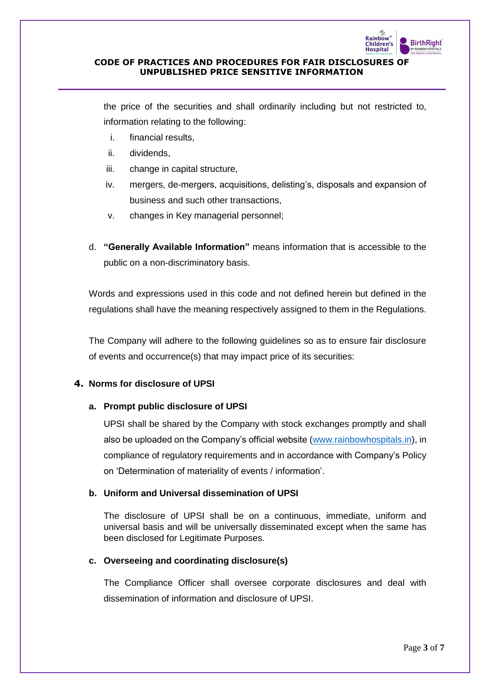

the price of the securities and shall ordinarily including but not restricted to, information relating to the following:

- i. financial results,
- ii. dividends,
- iii. change in capital structure,
- iv. mergers, de-mergers, acquisitions, delisting's, disposals and expansion of business and such other transactions,
- v. changes in Key managerial personnel;
- d. **"Generally Available Information"** means information that is accessible to the public on a non-discriminatory basis.

Words and expressions used in this code and not defined herein but defined in the regulations shall have the meaning respectively assigned to them in the Regulations.

The Company will adhere to the following guidelines so as to ensure fair disclosure of events and occurrence(s) that may impact price of its securities:

# **4. Norms for disclosure of UPSI**

# **a. Prompt public disclosure of UPSI**

UPSI shall be shared by the Company with stock exchanges promptly and shall also be uploaded on the Company's official website (www.rainbowhospitals.in), in compliance of regulatory requirements and in accordance with Company's Policy on 'Determination of materiality of events / information'.

# **b. Uniform and Universal dissemination of UPSI**

The disclosure of UPSI shall be on a continuous, immediate, uniform and universal basis and will be universally disseminated except when the same has been disclosed for Legitimate Purposes.

# **c. Overseeing and coordinating disclosure(s)**

The Compliance Officer shall oversee corporate disclosures and deal with dissemination of information and disclosure of UPSI.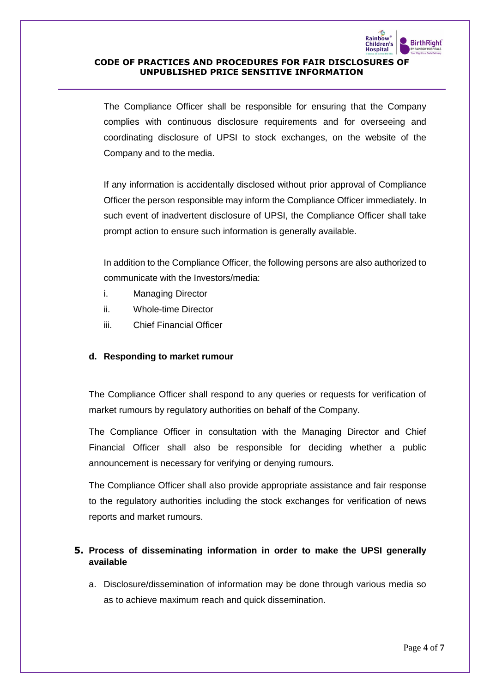

The Compliance Officer shall be responsible for ensuring that the Company complies with continuous disclosure requirements and for overseeing and coordinating disclosure of UPSI to stock exchanges, on the website of the Company and to the media.

If any information is accidentally disclosed without prior approval of Compliance Officer the person responsible may inform the Compliance Officer immediately. In such event of inadvertent disclosure of UPSI, the Compliance Officer shall take prompt action to ensure such information is generally available.

In addition to the Compliance Officer, the following persons are also authorized to communicate with the Investors/media:

- i. Managing Director
- ii. Whole-time Director
- iii. Chief Financial Officer

# **d. Responding to market rumour**

The Compliance Officer shall respond to any queries or requests for verification of market rumours by regulatory authorities on behalf of the Company.

The Compliance Officer in consultation with the Managing Director and Chief Financial Officer shall also be responsible for deciding whether a public announcement is necessary for verifying or denying rumours.

The Compliance Officer shall also provide appropriate assistance and fair response to the regulatory authorities including the stock exchanges for verification of news reports and market rumours.

# **5. Process of disseminating information in order to make the UPSI generally available**

a. Disclosure/dissemination of information may be done through various media so as to achieve maximum reach and quick dissemination.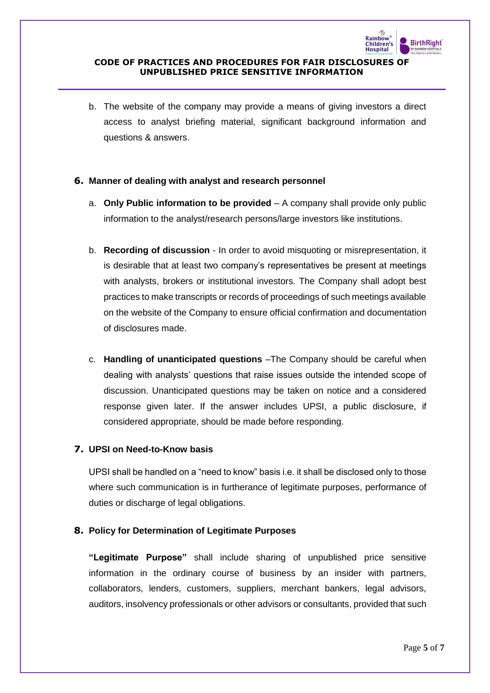

b. The website of the company may provide a means of giving investors a direct access to analyst briefing material, significant background information and questions & answers.

### **6. Manner of dealing with analyst and research personnel**

- a. **Only Public information to be provided** A company shall provide only public information to the analyst/research persons/large investors like institutions.
- b. **Recording of discussion** In order to avoid misquoting or misrepresentation, it is desirable that at least two company's representatives be present at meetings with analysts, brokers or institutional investors. The Company shall adopt best practices to make transcripts or records of proceedings of such meetings available on the website of the Company to ensure official confirmation and documentation of disclosures made.
- c. **Handling of unanticipated questions** –The Company should be careful when dealing with analysts' questions that raise issues outside the intended scope of discussion. Unanticipated questions may be taken on notice and a considered response given later. If the answer includes UPSI, a public disclosure, if considered appropriate, should be made before responding.

# **7. UPSI on Need-to-Know basis**

UPSI shall be handled on a "need to know" basis i.e. it shall be disclosed only to those where such communication is in furtherance of legitimate purposes, performance of duties or discharge of legal obligations.

# **8. Policy for Determination of Legitimate Purposes**

**"Legitimate Purpose"** shall include sharing of unpublished price sensitive information in the ordinary course of business by an insider with partners, collaborators, lenders, customers, suppliers, merchant bankers, legal advisors, auditors, insolvency professionals or other advisors or consultants, provided that such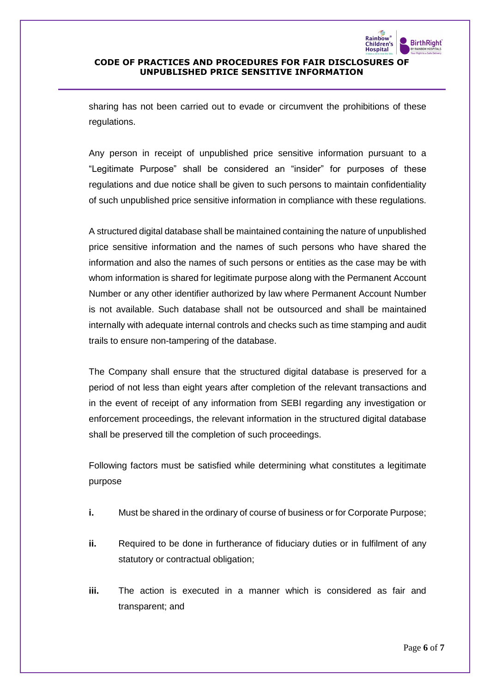

sharing has not been carried out to evade or circumvent the prohibitions of these regulations.

Any person in receipt of unpublished price sensitive information pursuant to a "Legitimate Purpose" shall be considered an "insider" for purposes of these regulations and due notice shall be given to such persons to maintain confidentiality of such unpublished price sensitive information in compliance with these regulations.

A structured digital database shall be maintained containing the nature of unpublished price sensitive information and the names of such persons who have shared the information and also the names of such persons or entities as the case may be with whom information is shared for legitimate purpose along with the Permanent Account Number or any other identifier authorized by law where Permanent Account Number is not available. Such database shall not be outsourced and shall be maintained internally with adequate internal controls and checks such as time stamping and audit trails to ensure non-tampering of the database.

The Company shall ensure that the structured digital database is preserved for a period of not less than eight years after completion of the relevant transactions and in the event of receipt of any information from SEBI regarding any investigation or enforcement proceedings, the relevant information in the structured digital database shall be preserved till the completion of such proceedings.

Following factors must be satisfied while determining what constitutes a legitimate purpose

- **i.** Must be shared in the ordinary of course of business or for Corporate Purpose;
- **ii.** Required to be done in furtherance of fiduciary duties or in fulfilment of any statutory or contractual obligation;
- **iii.** The action is executed in a manner which is considered as fair and transparent; and